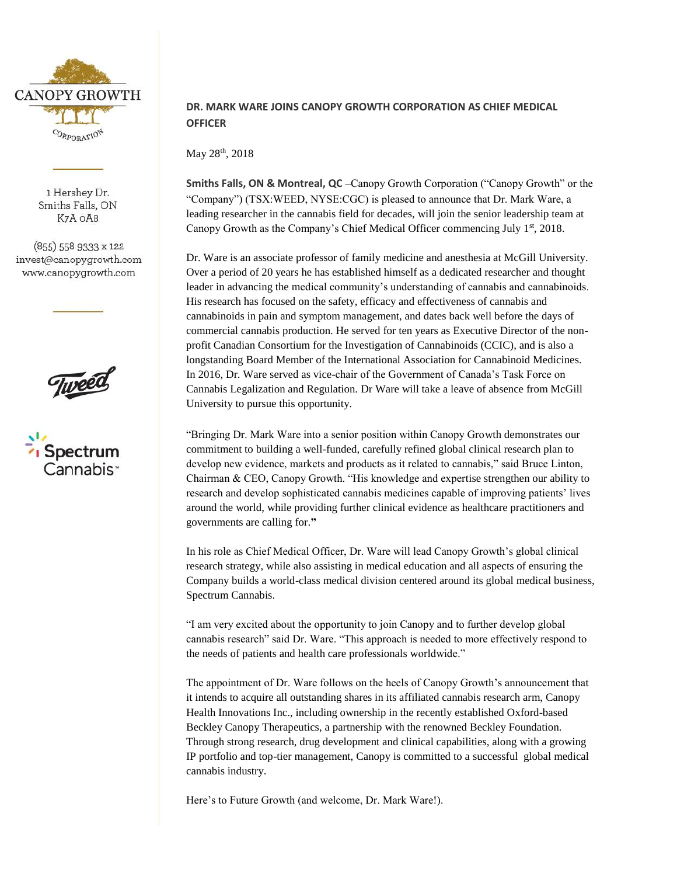

1 Hershey Dr. Smiths Falls, ON K7A OA8

(855) 558 9333 x 122 invest@canopygrowth.com www.canopygrowth.com





## **DR. MARK WARE JOINS CANOPY GROWTH CORPORATION AS CHIEF MEDICAL OFFICER**

May 28<sup>th</sup>, 2018

**Smiths Falls, ON & Montreal, QC** –Canopy Growth Corporation ("Canopy Growth" or the "Company") (TSX:WEED, NYSE:CGC) is pleased to announce that Dr. Mark Ware, a leading researcher in the cannabis field for decades, will join the senior leadership team at Canopy Growth as the Company's Chief Medical Officer commencing July 1<sup>st</sup>, 2018.

Dr. Ware is an associate professor of family medicine and anesthesia at McGill University. Over a period of 20 years he has established himself as a dedicated researcher and thought leader in advancing the medical community's understanding of cannabis and cannabinoids. His research has focused on the safety, efficacy and effectiveness of cannabis and cannabinoids in pain and symptom management, and dates back well before the days of commercial cannabis production. He served for ten years as Executive Director of the nonprofit Canadian Consortium for the Investigation of Cannabinoids (CCIC), and is also a longstanding Board Member of the International Association for Cannabinoid Medicines. In 2016, Dr. Ware served as vice-chair of the Government of Canada's Task Force on Cannabis Legalization and Regulation. Dr Ware will take a leave of absence from McGill University to pursue this opportunity.

"Bringing Dr. Mark Ware into a senior position within Canopy Growth demonstrates our commitment to building a well-funded, carefully refined global clinical research plan to develop new evidence, markets and products as it related to cannabis," said Bruce Linton, Chairman & CEO, Canopy Growth. "His knowledge and expertise strengthen our ability to research and develop sophisticated cannabis medicines capable of improving patients' lives around the world, while providing further clinical evidence as healthcare practitioners and governments are calling for.**"**

In his role as Chief Medical Officer, Dr. Ware will lead Canopy Growth's global clinical research strategy, while also assisting in medical education and all aspects of ensuring the Company builds a world-class medical division centered around its global medical business, Spectrum Cannabis.

"I am very excited about the opportunity to join Canopy and to further develop global cannabis research" said Dr. Ware. "This approach is needed to more effectively respond to the needs of patients and health care professionals worldwide."

The appointment of Dr. Ware follows on the heels of Canopy Growth's announcement that it intends to acquire all outstanding shares in its affiliated cannabis research arm, Canopy Health Innovations Inc., including ownership in the recently established Oxford-based Beckley Canopy Therapeutics, a partnership with the renowned Beckley Foundation. Through strong research, drug development and clinical capabilities, along with a growing IP portfolio and top-tier management, Canopy is committed to a successful global medical cannabis industry.

Here's to Future Growth (and welcome, Dr. Mark Ware!).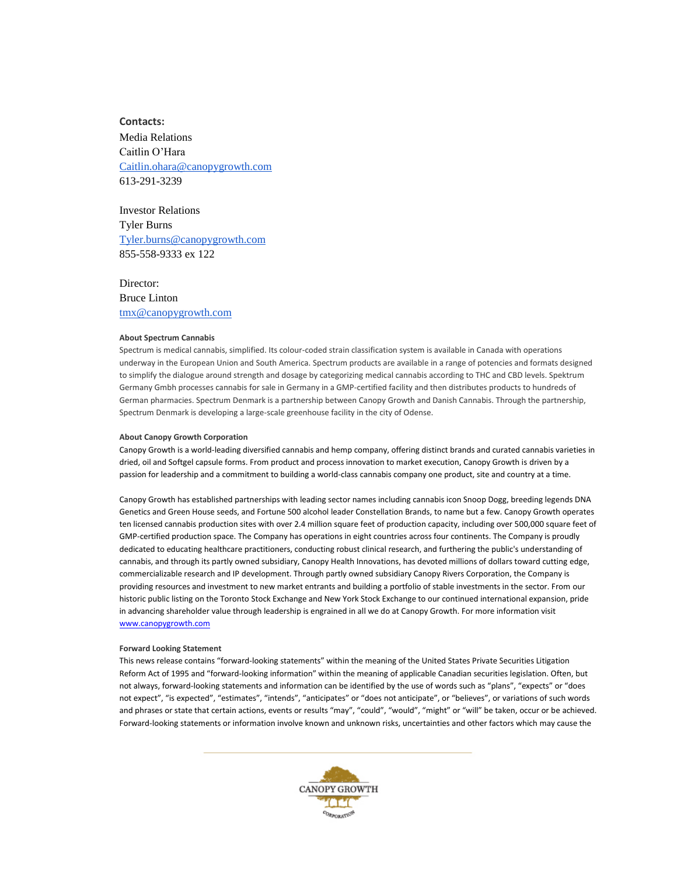**Contacts:** Media Relations Caitlin O'Hara [Caitlin.ohara@canopygrowth.com](mailto:Caitlin.ohara@canopygrowth.com) 613-291-3239

Investor Relations Tyler Burns [Tyler.burns@canopygrowth.com](mailto:Tyler.burns@canopygrowth.com) 855-558-9333 ex 122

Director: Bruce Linton [tmx@canopygrowth.com](mailto:tmx@canopygrowth.com)

## **About Spectrum Cannabis**

Spectrum is medical cannabis, simplified. Its colour-coded strain classification system is available in Canada with operations underway in the European Union and South America. Spectrum products are available in a range of potencies and formats designed to simplify the dialogue around strength and dosage by categorizing medical cannabis according to THC and CBD levels. Spektrum Germany Gmbh processes cannabis for sale in Germany in a GMP-certified facility and then distributes products to hundreds of German pharmacies. Spectrum Denmark is a partnership between Canopy Growth and Danish Cannabis. Through the partnership, Spectrum Denmark is developing a large-scale greenhouse facility in the city of Odense.

## **About Canopy Growth Corporation**

Canopy Growth is a world-leading diversified cannabis and hemp company, offering distinct brands and curated cannabis varieties in dried, oil and Softgel capsule forms. From product and process innovation to market execution, Canopy Growth is driven by a passion for leadership and a commitment to building a world-class cannabis company one product, site and country at a time.

Canopy Growth has established partnerships with leading sector names including cannabis icon Snoop Dogg, breeding legends DNA Genetics and Green House seeds, and Fortune 500 alcohol leader Constellation Brands, to name but a few. Canopy Growth operates ten licensed cannabis production sites with over 2.4 million square feet of production capacity, including over 500,000 square feet of GMP-certified production space. The Company has operations in eight countries across four continents. The Company is proudly dedicated to educating healthcare practitioners, conducting robust clinical research, and furthering the public's understanding of cannabis, and through its partly owned subsidiary, Canopy Health Innovations, has devoted millions of dollars toward cutting edge, commercializable research and IP development. Through partly owned subsidiary Canopy Rivers Corporation, the Company is providing resources and investment to new market entrants and building a portfolio of stable investments in the sector. From our historic public listing on the Toronto Stock Exchange and New York Stock Exchange to our continued international expansion, pride in advancing shareholder value through leadership is engrained in all we do at Canopy Growth. For more information visit [www.canopygrowth.com](http://www.canopygrowth.com/) 

## **Forward Looking Statement**

This news release contains "forward-looking statements" within the meaning of the United States Private Securities Litigation Reform Act of 1995 and "forward-looking information" within the meaning of applicable Canadian securities legislation. Often, but not always, forward-looking statements and information can be identified by the use of words such as "plans", "expects" or "does not expect", "is expected", "estimates", "intends", "anticipates" or "does not anticipate", or "believes", or variations of such words and phrases or state that certain actions, events or results "may", "could", "would", "might" or "will" be taken, occur or be achieved. Forward-looking statements or information involve known and unknown risks, uncertainties and other factors which may cause the